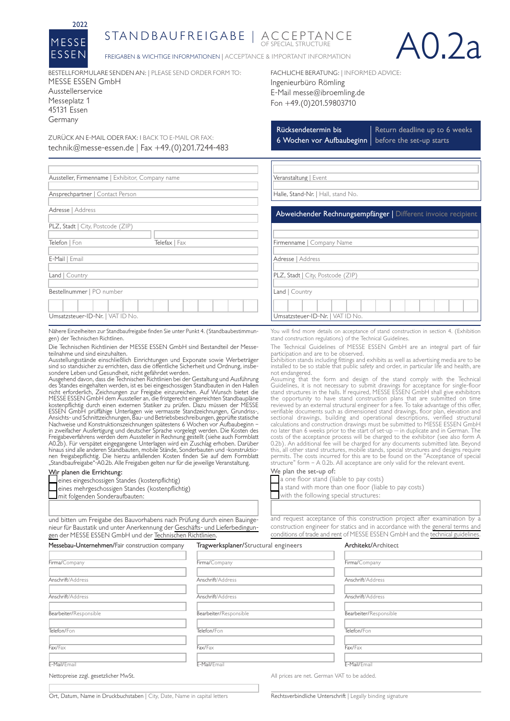

## STAN D B AUFREIGABE | ACCEPTANCE



FREIGABEN & WICHTIGE INFORMATIONEN | ACCEPTANCE & IMPORTANT INFORMATION

BESTELLFORMULARE SENDEN AN: | PLEASE SEND ORDER FORM TO: MESSE ESSEN GmbH Ausstellerservice Messeplatz 1 45131 Essen Germany

ZURÜCK AN E-MAIL ODER FAX: l BACK TO E-MAIL OR FAX: technik@messe-essen.de | Fax +49.(0)201.7244-483

Aussteller, Firmenname | Exhibitor, Company name

Telefon | Fon Telefax | Fax

Ansprechpartner | Contact Person

PLZ, Stadt | City, Postcode (ZIP)

Adresse | Address

E-Mail | Email Land | Country Ingenieurbüro Römling E-Mail messe@ibroemling.de Fon +49.(0)201.59803710

FACHLICHE BERATUNG: | INFORMED ADVICE:

Rücksendetermin bis 6 Wochen vor Aufbaubeginn | before the set-up starts

Return deadline up to 6 weeks

| Veranstaltung   Event |  |
|-----------------------|--|
|                       |  |

Halle, Stand-Nr. | Hall, stand No.

Abweichender Rechnungsempfänger | Different invoice recipient

You will find more details on acceptance of stand construction in section 4. (Exhibition

The Technical Guidelines of MESSE ESSEN GmbH are an integral part of fair

Exhibition stands including fittings and exhibits as well as advertising media are to be installed to be so stable that public safety and order, in particular life and health, are

Assuming that the form and design of the stand comply with the Technical Guidelines, it is not necessary to submit drawings for acceptance for single-floor stand structures in the halls. If required, MESSE ESSEN GmbH shall give exhibitors

the opportunity to have stand construction plans that are submitted on time<br>reviewed by an external structural engineer for a fee. To take advantage of this offer<br>verifiable documents such as dimensioned stand drawings, f

costs of the acceptance process will be charged to the exhibitor (see also form A<br>0.2b). An additional fee will be charged for any documents submitted late. Beyond<br>this, all other stand structures, mobile stands, special s permits. The costs incurred for this are to be found on the "Acceptance of special structure" form – A 0.2b. All acceptance are only valid for the relevant event.

Firmenname | Company Name

Adresse | Address

PLZ, Stadt | City, Postcode (ZIP)

Umsatzsteuer-ID-Nr. | VAT ID No.

participation and are to be observed.

stand construction regulations) of the Technical Guidelines.

Land | Country

not endangered.

We plan the set-up of:

 $\Box$  a one floor stand (liable to pay costs)

 $\blacksquare$  with the following special structures:

Umsatzsteuer-ID-Nr. | VAT ID No.

Bestellnummer | PO number

Nähere Einzelheiten zur Standbaufreigabe finden Sie unter Punkt 4. (Standbaubestimmungen) der Technischen Richtlinen.

Die Technischen Richtlinien der MESSE ESSEN GmbH sind Bestandteil der Messeteilnahme und sind einzuhalten.

Ausstellungsstände einschließlich Einrichtungen und Exponate sowie Werbeträger sind so standsicher zu errichten, dass die öffentliche Sicherheit und Ordnung, insbe-sondere Leben und Gesundheit, nicht gefährdet werden. Ausgehend davon, dass die Technischen Richtlinien bei der Gestaltung und Ausführung

des Standes eingehalten werden, ist es bei eingeschossigen Standbauten in den Hallen<br>nicht erforderlich, Zeichnungen zur Freigabe einzureichen. Auf Wunsch bietet die<br>MESSE ESSEN GmbH dem Aussteller an, die fristger kostenpflichtig durch einen externen Statiker zu prüfen. Dazu müssen der MESSE<br>ESSEN GmbH prüffähige Unterlagen wie vermasste Standzeichnungen, Grundriss-,<br>Ansichts- und Schnittzeichnungen,Bau- und Betriebsbeschreibungen, Nachweise und Konstruktionszeichnungen spätestens 6 Wochen vor Aufbaubeginn –<br>in zweifacher Ausfertigung und deutscher Sprache vorgelegt werden. Die Kosten des<br>Freigabeverfahrens werden dem Aussteller in Rechnung gestellt A0.2b). Für verspätet eingegangene Unterlagen wird ein Zuschlag erhoben. Darüber hinaus sind alle anderen Standbauten, mobile Stände, Sonderbauten und -konstruktionen freigabepflichtig. Die hierzu anfallenden Kosten finden Sie auf dem Formblatt "Standbaufreigabe"-A0.2b. Alle Freigaben gelten nur für die jeweilige Veranstaltung.

## Wir planen die Errichtung:

eines eingeschossigen Standes (kostenpflichtig) eines mehrgeschossigen Standes (kostenpflichtig)  $\Box$  mit folgenden Sonderaufbauten:

and request acceptance of this construction project after examination by a

a stand with more than one floor (liable to pay costs)

und bitten um Freigabe des Bauvorhabens nach Prüfung durch einen Bauingenieur für Baustatik und unter Anerkennung der [Geschäfts- und Lieferbedingun](https://www.messe-essen-service.de/media/neue-medien/serviceformulare/allgemein/2022/genehmigungen/agb-generaltermsandconditions-2022.pdf)[gen](https://www.messe-essen-service.de/media/neue-medien/serviceformulare/allgemein/2022/genehmigungen/agb-generaltermsandconditions-2022.pdf) der MESSE ESSEN GmbH und der [Technischen Richtlinien.](https://www.messe-essen-service.de/media/neue-medien/serviceformulare/allgemein/2022/genehmigungen/technische-richtlinien-technicalguidelines-2022.pdf)

construction engineer for statics and in accordance with the [general terms and](https://www.messe-essen-service.de/media/neue-medien/serviceformulare/allgemein/2022/genehmigungen/agb-generaltermsandconditions-2022.pdf) [conditions of trade and rent](https://www.messe-essen-service.de/media/neue-medien/serviceformulare/allgemein/2022/genehmigungen/agb-generaltermsandconditions-2022.pdf) of MESSE ESSEN GmbH and the [technical guidelines.](https://www.messe-essen-service.de/media/neue-medien/serviceformulare/allgemein/2022/genehmigungen/technische-richtlinien-technicalguidelines-2022.pdf)

| Messebau-Unternehmen/Fair construction company | Tragwerksplaner/Structural engineers        | Architekt/Architect    |
|------------------------------------------------|---------------------------------------------|------------------------|
|                                                |                                             |                        |
| Firma/Company                                  | Firma/Company                               | Firma/Company          |
|                                                |                                             |                        |
| Anschrift/Address                              | Anschrift/Address                           | Anschrift/Address      |
| Anschrift/Address                              | Anschrift/Address                           | Anschrift/Address      |
|                                                |                                             |                        |
| Bearbeiter/Responsible                         | Bearbeiter/Responsible                      | Bearbeiter/Responsible |
| Telefon/Fon                                    | Telefon/Fon                                 | Telefon/Fon            |
|                                                |                                             |                        |
| Fax/Fax                                        | Fax/Fax                                     | Fax/Fax                |
| E-Mail/Email                                   | E-Mail/Email                                | E-Mail/Email           |
|                                                |                                             |                        |
| Nettopreise zzgl. gesetzlicher MwSt.           | All prices are net. German VAT to be added. |                        |

Ort, Datum, Name in Druckbuchstaben | City, Date, Name in capital letters Rechtsverbindliche Unterschrift | Legally binding signature